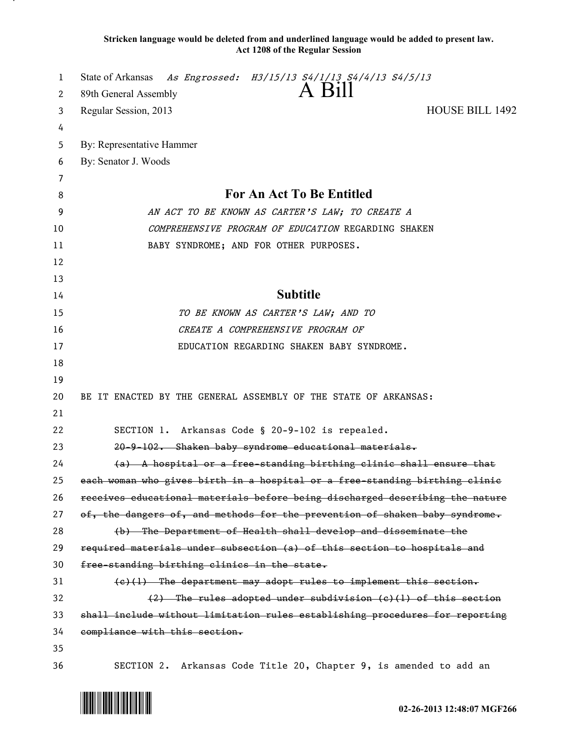**Stricken language would be deleted from and underlined language would be added to present law. Act 1208 of the Regular Session**

| 1  | State of Arkansas As Engrossed: H3/15/13 S4/1/13 S4/4/13 S4/5/13             |
|----|------------------------------------------------------------------------------|
| 2  | A Bill<br>89th General Assembly                                              |
| 3  | <b>HOUSE BILL 1492</b><br>Regular Session, 2013                              |
| 4  |                                                                              |
| 5  | By: Representative Hammer                                                    |
| 6  | By: Senator J. Woods                                                         |
| 7  |                                                                              |
| 8  | For An Act To Be Entitled                                                    |
| 9  | AN ACT TO BE KNOWN AS CARTER'S LAW; TO CREATE A                              |
| 10 | COMPREHENSIVE PROGRAM OF EDUCATION REGARDING SHAKEN                          |
| 11 | BABY SYNDROME; AND FOR OTHER PURPOSES.                                       |
| 12 |                                                                              |
| 13 |                                                                              |
| 14 | <b>Subtitle</b>                                                              |
| 15 | TO BE KNOWN AS CARTER'S LAW; AND TO                                          |
| 16 | CREATE A COMPREHENSIVE PROGRAM OF                                            |
| 17 | EDUCATION REGARDING SHAKEN BABY SYNDROME.                                    |
| 18 |                                                                              |
| 19 |                                                                              |
| 20 | BE IT ENACTED BY THE GENERAL ASSEMBLY OF THE STATE OF ARKANSAS:              |
| 21 |                                                                              |
| 22 | SECTION 1. Arkansas Code § 20-9-102 is repealed.                             |
| 23 | 20-9-102. Shaken baby syndrome educational materials.                        |
| 24 | (a) A hospital or a free-standing birthing clinic shall ensure that          |
| 25 | each woman who gives birth in a hospital or a free-standing birthing clinic  |
| 26 | receives educational materials before being discharged describing the nature |
| 27 | of, the dangers of, and methods for the prevention of shaken baby syndrome.  |
| 28 | (b) The Department of Health shall develop and disseminate the               |
| 29 | required materials under subsection (a) of this section to hospitals and     |
| 30 | free-standing birthing clinics in the state.                                 |
| 31 | $(e)$ (1) The department may adopt rules to implement this section.          |
| 32 | $(2)$ The rules adopted under subdivision (e)(1) of this section             |
| 33 | shall include without limitation rules establishing procedures for reporting |
| 34 | compliance with this section.                                                |
| 35 |                                                                              |
| 36 | SECTION 2. Arkansas Code Title 20, Chapter 9, is amended to add an           |

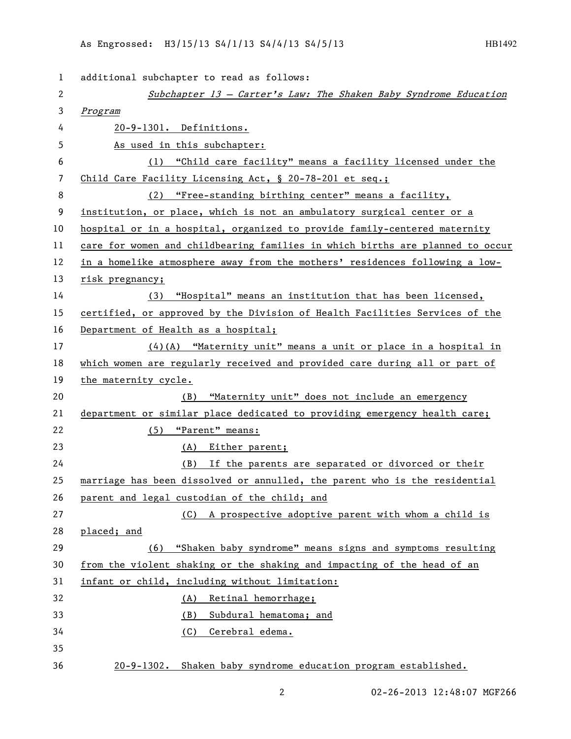| $\mathbf{1}$ | additional subchapter to read as follows:                                     |
|--------------|-------------------------------------------------------------------------------|
| 2            | Subchapter 13 - Carter's Law: The Shaken Baby Syndrome Education              |
| 3            | Program                                                                       |
| 4            | 20-9-1301. Definitions.                                                       |
| 5            | As used in this subchapter:                                                   |
| 6            | (1) "Child care facility" means a facility licensed under the                 |
| 7            | Child Care Facility Licensing Act, § 20-78-201 et seq.;                       |
| 8            | (2) "Free-standing birthing center" means a facility,                         |
| 9            | institution, or place, which is not an ambulatory surgical center or a        |
| 10           | hospital or in a hospital, organized to provide family-centered maternity     |
| 11           | care for women and childbearing families in which births are planned to occur |
| 12           | in a homelike atmosphere away from the mothers' residences following a low-   |
| 13           | risk pregnancy;                                                               |
| 14           | (3) "Hospital" means an institution that has been licensed,                   |
| 15           | certified, or approved by the Division of Health Facilities Services of the   |
| 16           | Department of Health as a hospital;                                           |
| 17           | (4)(A) "Maternity unit" means a unit or place in a hospital in                |
| 18           | which women are regularly received and provided care during all or part of    |
| 19           | the maternity cycle.                                                          |
| 20           | "Maternity unit" does not include an emergency<br>(B)                         |
| 21           | department or similar place dedicated to providing emergency health care;     |
| 22           | $(5)$ "Parent" means:                                                         |
| 23           | (A) Either parent;                                                            |
| 24           | (B) If the parents are separated or divorced or their                         |
| 25           | marriage has been dissolved or annulled, the parent who is the residential    |
| 26           | parent and legal custodian of the child; and                                  |
| 27           | A prospective adoptive parent with whom a child is<br>(C)                     |
| 28           | placed; and                                                                   |
| 29           | "Shaken baby syndrome" means signs and symptoms resulting<br>(6)              |
| 30           | from the violent shaking or the shaking and impacting of the head of an       |
| 31           | infant or child, including without limitation:                                |
| 32           | Retinal hemorrhage;<br>(A)                                                    |
| 33           | Subdural hematoma; and<br>(B)                                                 |
| 34           | Cerebral edema.<br>(C)                                                        |
| 35           |                                                                               |
| 36           | 20-9-1302. Shaken baby syndrome education program established.                |

2 02-26-2013 12:48:07 MGF266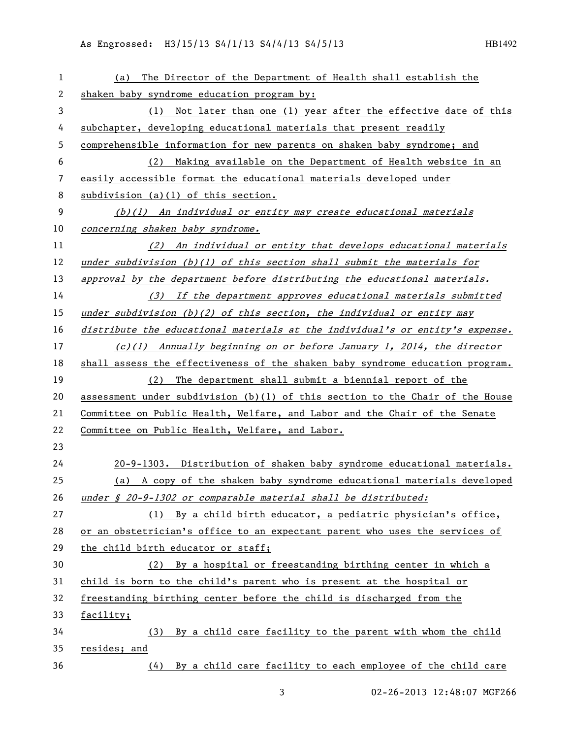| 1  | The Director of the Department of Health shall establish the<br>(a)             |
|----|---------------------------------------------------------------------------------|
| 2  | shaken baby syndrome education program by:                                      |
| 3  | (1) Not later than one (1) year after the effective date of this                |
| 4  | subchapter, developing educational materials that present readily               |
| 5  | comprehensible information for new parents on shaken baby syndrome; and         |
| 6  | (2) Making available on the Department of Health website in an                  |
| 7  | easily accessible format the educational materials developed under              |
| 8  | subdivision $(a)(1)$ of this section.                                           |
| 9  | $(b)(1)$ An individual or entity may create educational materials               |
| 10 | concerning shaken baby syndrome.                                                |
| 11 | (2) An individual or entity that develops educational materials                 |
| 12 | under subdivision $(b)(1)$ of this section shall submit the materials for       |
| 13 | approval by the department before distributing the educational materials.       |
| 14 | (3) If the department approves educational materials submitted                  |
| 15 | under subdivision $(b)(2)$ of this section, the individual or entity may        |
| 16 | distribute the educational materials at the individual's or entity's expense.   |
| 17 | $(c)(1)$ Annually beginning on or before January 1, 2014, the director          |
| 18 | shall assess the effectiveness of the shaken baby syndrome education program.   |
| 19 | (2) The department shall submit a biennial report of the                        |
| 20 | assessment under subdivision $(b)(1)$ of this section to the Chair of the House |
| 21 | Committee on Public Health, Welfare, and Labor and the Chair of the Senate      |
| 22 | Committee on Public Health, Welfare, and Labor.                                 |
| 23 |                                                                                 |
| 24 | 20-9-1303. Distribution of shaken baby syndrome educational materials.          |
| 25 | (a) A copy of the shaken baby syndrome educational materials developed          |
| 26 | under § 20-9-1302 or comparable material shall be distributed:                  |
| 27 | (1) By a child birth educator, a pediatric physician's office,                  |
| 28 | or an obstetrician's office to an expectant parent who uses the services of     |
| 29 | the child birth educator or staff;                                              |
| 30 | (2) By a hospital or freestanding birthing center in which a                    |
| 31 | child is born to the child's parent who is present at the hospital or           |
| 32 | freestanding birthing center before the child is discharged from the            |
| 33 | facility;                                                                       |
| 34 | (3) By a child care facility to the parent with whom the child                  |
| 35 | resides; and                                                                    |
| 36 | (4) By a child care facility to each employee of the child care                 |

3 02-26-2013 12:48:07 MGF266